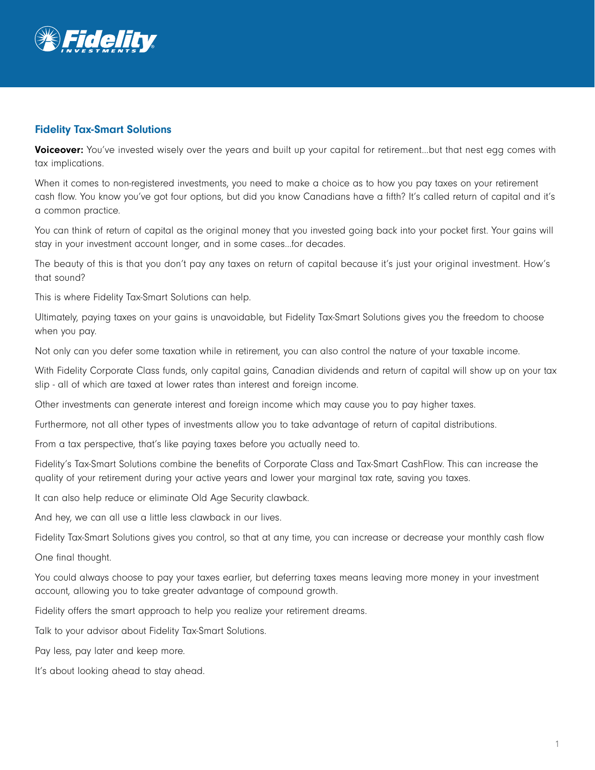

## Fidelity Tax-Smart Solutions

Voiceover: You've invested wisely over the years and built up your capital for retirement...but that nest egg comes with tax implications.

When it comes to non-registered investments, you need to make a choice as to how you pay taxes on your retirement cash flow. You know you've got four options, but did you know Canadians have a fifth? It's called return of capital and it's a common practice.

You can think of return of capital as the original money that you invested going back into your pocket first. Your gains will stay in your investment account longer, and in some cases…for decades.

The beauty of this is that you don't pay any taxes on return of capital because it's just your original investment. How's that sound?

This is where Fidelity Tax-Smart Solutions can help.

Ultimately, paying taxes on your gains is unavoidable, but Fidelity Tax-Smart Solutions gives you the freedom to choose when you pay.

Not only can you defer some taxation while in retirement, you can also control the nature of your taxable income.

With Fidelity Corporate Class funds, only capital gains, Canadian dividends and return of capital will show up on your tax slip - all of which are taxed at lower rates than interest and foreign income.

Other investments can generate interest and foreign income which may cause you to pay higher taxes.

Furthermore, not all other types of investments allow you to take advantage of return of capital distributions.

From a tax perspective, that's like paying taxes before you actually need to.

Fidelity's Tax-Smart Solutions combine the benefits of Corporate Class and Tax-Smart CashFlow. This can increase the quality of your retirement during your active years and lower your marginal tax rate, saving you taxes.

It can also help reduce or eliminate Old Age Security clawback.

And hey, we can all use a little less clawback in our lives.

Fidelity Tax-Smart Solutions gives you control, so that at any time, you can increase or decrease your monthly cash flow

One final thought.

You could always choose to pay your taxes earlier, but deferring taxes means leaving more money in your investment account, allowing you to take greater advantage of compound growth.

Fidelity offers the smart approach to help you realize your retirement dreams.

Talk to your advisor about Fidelity Tax-Smart Solutions.

Pay less, pay later and keep more.

It's about looking ahead to stay ahead.